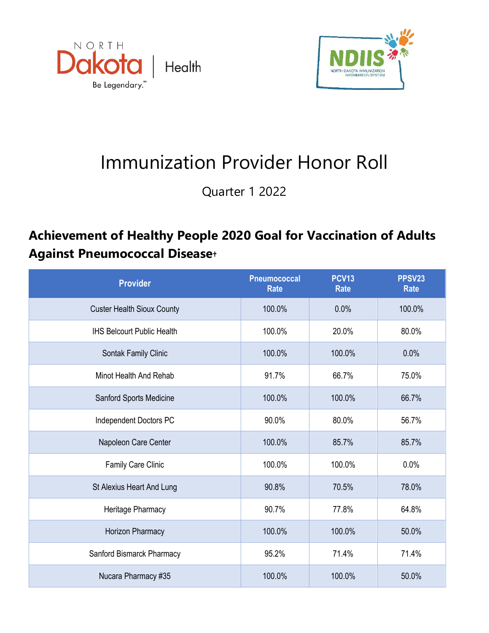



## Immunization Provider Honor Roll

Quarter 1 2022

## **Achievement of Healthy People 2020 Goal for Vaccination of Adults Against Pneumococcal Disease†**

| <b>Provider</b>                   | <b>Pneumococcal</b><br><b>Rate</b> | <b>PCV13</b><br><b>Rate</b> | PPSV23<br><b>Rate</b> |
|-----------------------------------|------------------------------------|-----------------------------|-----------------------|
| <b>Custer Health Sioux County</b> | 100.0%                             | 0.0%                        | 100.0%                |
| <b>IHS Belcourt Public Health</b> | 100.0%                             | 20.0%                       | 80.0%                 |
| Sontak Family Clinic              | 100.0%                             | 100.0%                      | 0.0%                  |
| Minot Health And Rehab            | 91.7%                              | 66.7%                       | 75.0%                 |
| Sanford Sports Medicine           | 100.0%                             | 100.0%                      | 66.7%                 |
| Independent Doctors PC            | 90.0%                              | 80.0%                       | 56.7%                 |
| Napoleon Care Center              | 100.0%                             | 85.7%                       | 85.7%                 |
| Family Care Clinic                | 100.0%                             | 100.0%                      | 0.0%                  |
| St Alexius Heart And Lung         | 90.8%                              | 70.5%                       | 78.0%                 |
| Heritage Pharmacy                 | 90.7%                              | 77.8%                       | 64.8%                 |
| Horizon Pharmacy                  | 100.0%                             | 100.0%                      | 50.0%                 |
| Sanford Bismarck Pharmacy         | 95.2%                              | 71.4%                       | 71.4%                 |
| Nucara Pharmacy #35               | 100.0%                             | 100.0%                      | 50.0%                 |